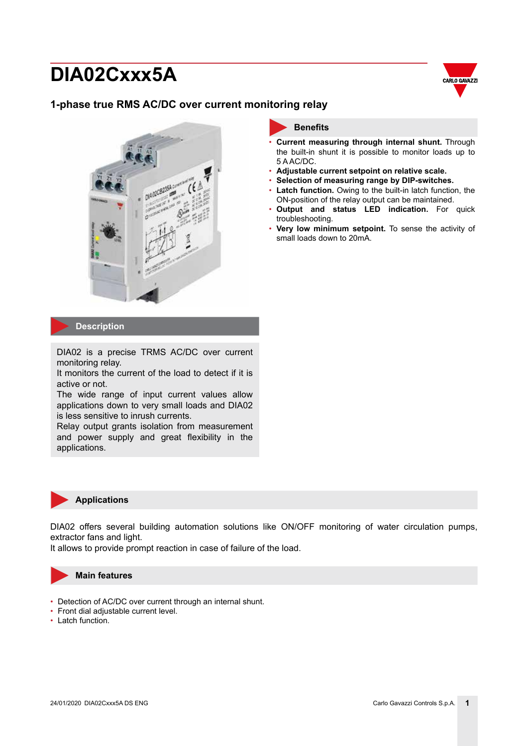

### **1-phase true RMS AC/DC over current monitoring relay**



## **Benefits**

- **Current measuring through internal shunt.** Through the built-in shunt it is possible to monitor loads up to 5 A AC/DC.
- **Adjustable current setpoint on relative scale.**
- **Selection of measuring range by DIP-switches.**
- Latch function. Owing to the built-in latch function, the ON-position of the relay output can be maintained.
- **Output and status LED indication.** For quick troubleshooting.
- **Very low minimum setpoint.** To sense the activity of small loads down to 20mA.

#### **Description**

DIA02 is a precise TRMS AC/DC over current monitoring relay.

It monitors the current of the load to detect if it is active or not.

The wide range of input current values allow applications down to very small loads and DIA02 is less sensitive to inrush currents.

Relay output grants isolation from measurement and power supply and great flexibility in the applications.



#### **Applications**

DIA02 offers several building automation solutions like ON/OFF monitoring of water circulation pumps, extractor fans and light.

It allows to provide prompt reaction in case of failure of the load.



#### **Main features**

- Detection of AC/DC over current through an internal shunt.
- Front dial adjustable current level.
- Latch function.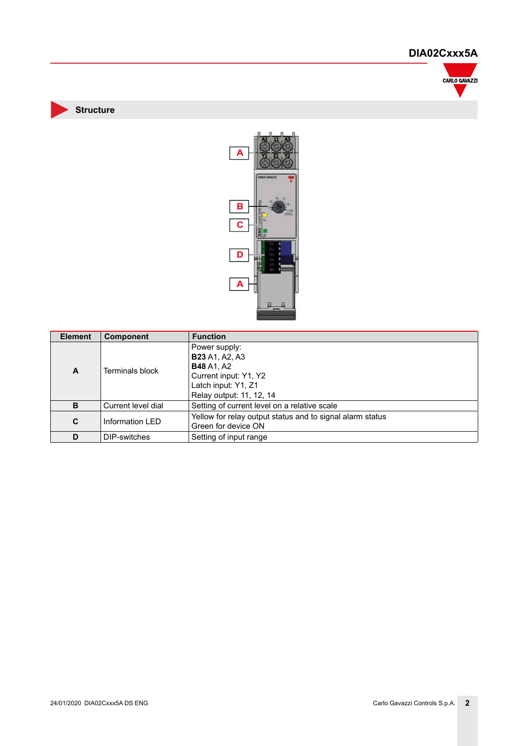

**Structure**



| <b>Element</b> | <b>Component</b>   | <b>Function</b>                                                                                                                         |
|----------------|--------------------|-----------------------------------------------------------------------------------------------------------------------------------------|
| A              | Terminals block    | Power supply:<br><b>B23</b> A1, A2, A3<br><b>B48</b> A1, A2<br>Current input: Y1, Y2<br>Latch input: Y1, Z1<br>Relay output: 11, 12, 14 |
| B              | Current level dial | Setting of current level on a relative scale                                                                                            |
| C              | Information LED    | Yellow for relay output status and to signal alarm status<br>Green for device ON                                                        |
| D              | DIP-switches       | Setting of input range                                                                                                                  |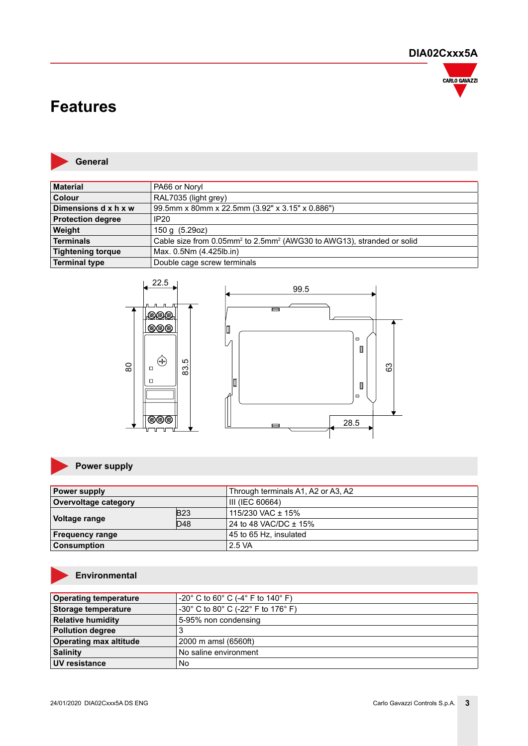

# **Features**



**Material** PA66 or Noryl **Colour** RAL7035 (light grey)<br>**Dimensions d x h x w** 99.5mm x 80mm x 22 **Dimensions d x h x w** 99.5mm x 80mm x 22.5mm (3.92" x 3.15" x 0.886") **Protection degree IP20 Weight** 150 g (5.29oz) **Terminals** The cable size from 0.05mm<sup>2</sup> to 2.5mm<sup>2</sup> (AWG30 to AWG13), stranded or solid **Tightening torque** Max. 0.5Nm (4.425lb.in) **Terminal type** Double cage screw terminals



### **Power supply**

| Power supply         |            | Through terminals A1, A2 or A3, A2 |
|----------------------|------------|------------------------------------|
| Overvoltage category |            | III (IEC 60664)                    |
|                      | <b>B23</b> | 115/230 VAC $\pm$ 15%              |
| <b>Voltage range</b> | D48        | 24 to 48 VAC/DC ± 15%              |
| ⊦Frequency range     |            | 45 to 65 Hz, insulated             |
| <b>Consumption</b>   |            | 2.5 VA                             |

### **Environmental**

| <b>Operating temperature</b>  | $-20^{\circ}$ C to 60 $^{\circ}$ C (-4 $^{\circ}$ F to 140 $^{\circ}$ F)  |
|-------------------------------|---------------------------------------------------------------------------|
| <b>Storage temperature</b>    | $-30^{\circ}$ C to 80 $^{\circ}$ C (-22 $^{\circ}$ F to 176 $^{\circ}$ F) |
| <b>Relative humidity</b>      | 5-95% non condensing                                                      |
| <b>Pollution degree</b>       |                                                                           |
| <b>Operating max altitude</b> | 2000 m amsl (6560ft)                                                      |
| <b>Salinity</b>               | No saline environment                                                     |
| UV resistance                 | No                                                                        |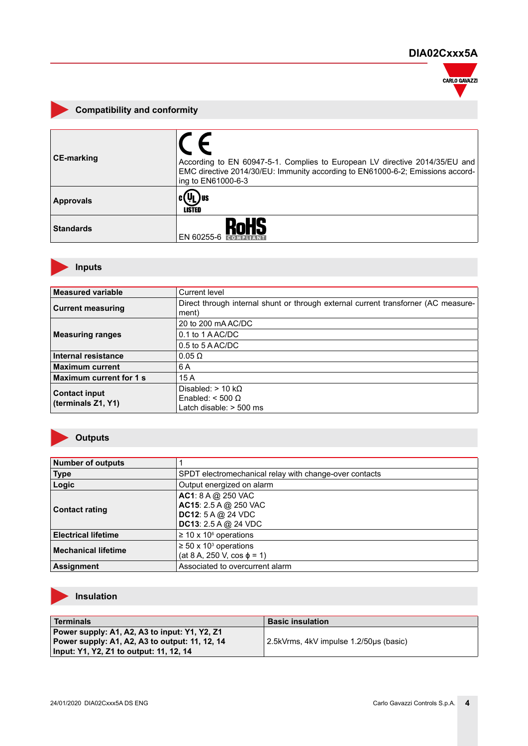

### **Compatibility and conformity**

| <b>CE-marking</b> | According to EN 60947-5-1. Complies to European LV directive 2014/35/EU and<br>EMC directive 2014/30/EU: Immunity according to EN61000-6-2; Emissions accord-<br>ing to EN61000-6-3 |
|-------------------|-------------------------------------------------------------------------------------------------------------------------------------------------------------------------------------|
| <b>Approvals</b>  | <b>LISTED</b>                                                                                                                                                                       |
| <b>Standards</b>  | <b>RoHS</b><br>EN 60255-6                                                                                                                                                           |

### **Inputs**

| <b>Measured variable</b>   | Current level                                                                               |
|----------------------------|---------------------------------------------------------------------------------------------|
| <b>Current measuring</b>   | Direct through internal shunt or through external current transforner (AC measure-<br>ment) |
|                            | 20 to 200 mAAC/DC                                                                           |
| <b>Measuring ranges</b>    | 0.1 to 1 AAC/DC                                                                             |
|                            | $0.5$ to $5$ A AC/DC                                                                        |
| <b>Internal resistance</b> | $0.05 \Omega$                                                                               |
| <b>Maximum current</b>     | 6 A                                                                                         |
| Maximum current for 1 s    | 15A                                                                                         |
| <b>Contact input</b>       | Disabled: $> 10 \text{ k}\Omega$                                                            |
| (terminals Z1, Y1)         | Enabled: $<$ 500 $\Omega$                                                                   |
|                            | Latch disable: $>$ 500 ms                                                                   |

### **Outputs**

| Number of outputs          |                                                                                                                      |
|----------------------------|----------------------------------------------------------------------------------------------------------------------|
| Type                       | SPDT electromechanical relay with change-over contacts                                                               |
| Logic                      | Output energized on alarm                                                                                            |
| <b>Contact rating</b>      | <b>AC1</b> : $8 A @ 250$ VAC<br><b>AC15:</b> 2.5 A @ 250 VAC<br>DC12: 5 A @ 24 VDC<br><b>DC13</b> : $2.5 A @ 24 VDC$ |
| <b>Electrical lifetime</b> | $\geq$ 10 x 10 <sup>6</sup> operations                                                                               |
| <b>Mechanical lifetime</b> | $\geq$ 50 x 10 <sup>3</sup> operations<br>$(at 8 A, 250 V, cos \phi = 1)$                                            |
| Assignment                 | Associated to overcurrent alarm                                                                                      |

### **Insulation**

| Terminals                                                                                                                                  | <b>Basic insulation</b>                |
|--------------------------------------------------------------------------------------------------------------------------------------------|----------------------------------------|
| Power supply: A1, A2, A3 to input: Y1, Y2, Z1<br>Power supply: A1, A2, A3 to output: 11, 12, 14<br>Input: Y1, Y2, Z1 to output: 11, 12, 14 | 2.5kVrms, 4kV impulse 1.2/50us (basic) |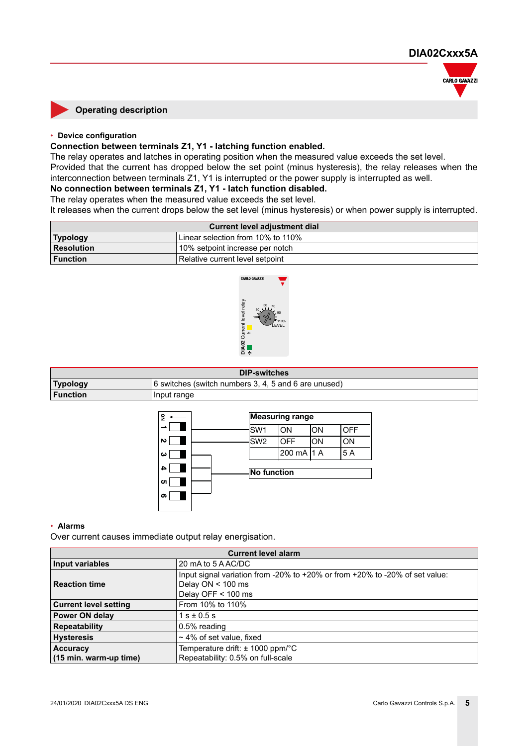

#### **Operating description**

#### • **Device configuration**

#### **Connection between terminals Z1, Y1 - latching function enabled.**

The relay operates and latches in operating position when the measured value exceeds the set level. Provided that the current has dropped below the set point (minus hysteresis), the relay releases when the interconnection between terminals Z1, Y1 is interrupted or the power supply is interrupted as well.

#### **No connection between terminals Z1, Y1 - latch function disabled.**

The relay operates when the measured value exceeds the set level.

It releases when the current drops below the set level (minus hysteresis) or when power supply is interrupted.

| Current level adjustment dial                        |                                 |
|------------------------------------------------------|---------------------------------|
| Linear selection from 10% to 110%<br><b>Typology</b> |                                 |
| Resolution                                           | 10% setpoint increase per notch |
| l Function                                           | Relative current level setpoint |



| <b>DIP-switches</b> |                                                      |  |
|---------------------|------------------------------------------------------|--|
| <b>Typology</b>     | 6 switches (switch numbers 3, 4, 5 and 6 are unused) |  |
| <b>Function</b>     | Input range                                          |  |



#### • **Alarms**

Over current causes immediate output relay energisation.

| <b>Current level alarm</b>   |                                                                                                                            |  |
|------------------------------|----------------------------------------------------------------------------------------------------------------------------|--|
| Input variables              | 20 mA to 5 A AC/DC                                                                                                         |  |
| Reaction time                | Input signal variation from -20% to +20% or from +20% to -20% of set value:<br>Delay $ON < 100$ ms<br>Delay OFF $<$ 100 ms |  |
| <b>Current level setting</b> | From 10% to 110%                                                                                                           |  |
| <b>Power ON delay</b>        | $1 s \pm 0.5 s$                                                                                                            |  |
| <b>Repeatability</b>         | 0.5% reading                                                                                                               |  |
| <b>Hysteresis</b>            | $\sim$ 4% of set value, fixed                                                                                              |  |
| <b>Accuracy</b>              | Temperature drift: $\pm$ 1000 ppm/°C                                                                                       |  |
| (15 min. warm-up time)       | Repeatability: 0.5% on full-scale                                                                                          |  |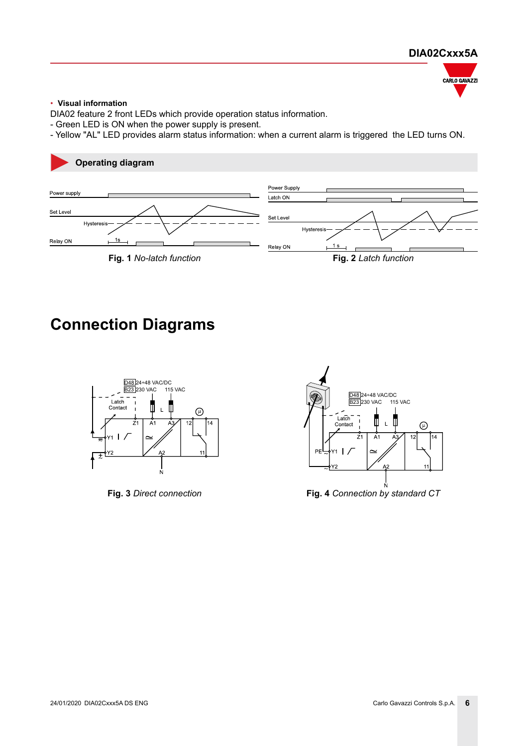

#### • **Visual information**

DIA02 feature 2 front LEDs which provide operation status information.

- Green LED is ON when the power supply is present.

- Yellow "AL" LED provides alarm status information: when a current alarm is triggered the LED turns ON.



# **Connection Diagrams**





**Fig. 3** *Direct connection* **Fig. 4** *Connection by standard CT*